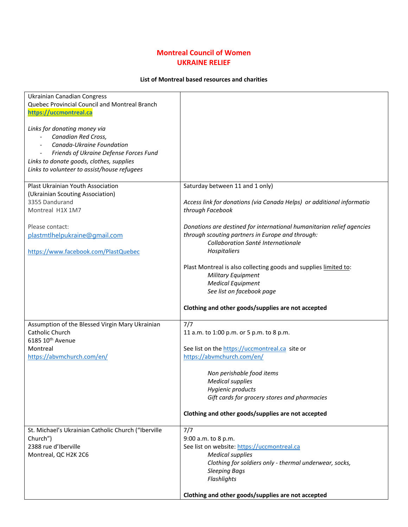## **Montreal Council of Women UKRAINE RELIEF**

## **List of Montreal based resources and charities**

| <b>Ukrainian Canadian Congress</b>                  |                                                                       |
|-----------------------------------------------------|-----------------------------------------------------------------------|
| Quebec Provincial Council and Montreal Branch       |                                                                       |
| https://uccmontreal.ca                              |                                                                       |
|                                                     |                                                                       |
| Links for donating money via                        |                                                                       |
| Canadian Red Cross,                                 |                                                                       |
| Canada-Ukraine Foundation                           |                                                                       |
| Friends of Ukraine Defense Forces Fund              |                                                                       |
| Links to donate goods, clothes, supplies            |                                                                       |
| Links to volunteer to assist/house refugees         |                                                                       |
|                                                     |                                                                       |
|                                                     |                                                                       |
| Plast Ukrainian Youth Association                   | Saturday between 11 and 1 only)                                       |
| (Ukrainian Scouting Association)                    |                                                                       |
| 3355 Dandurand                                      | Access link for donations (via Canada Helps) or additional informatio |
| Montreal H1X 1M7                                    | through Facebook                                                      |
|                                                     |                                                                       |
| Please contact:                                     | Donations are destined for international humanitarian relief agencies |
| plastmtlhelpukraine@gmail.com                       | through scouting partners in Europe and through:                      |
|                                                     | Collaboration Santé Internationale                                    |
| https://www.facebook.com/PlastQuebec                | Hospitaliers                                                          |
|                                                     |                                                                       |
|                                                     | Plast Montreal is also collecting goods and supplies limited to:      |
|                                                     |                                                                       |
|                                                     | Military Equipment                                                    |
|                                                     | <b>Medical Equipment</b>                                              |
|                                                     | See list on facebook page                                             |
|                                                     |                                                                       |
|                                                     | Clothing and other goods/supplies are not accepted                    |
|                                                     |                                                                       |
| Assumption of the Blessed Virgin Mary Ukrainian     | 7/7                                                                   |
| Catholic Church                                     | 11 a.m. to 1:00 p.m. or 5 p.m. to 8 p.m.                              |
| 6185 10 <sup>th</sup> Avenue                        |                                                                       |
| Montreal                                            | See list on the https://uccmontreal.ca site or                        |
| https://abvmchurch.com/en/                          | https://abvmchurch.com/en/                                            |
|                                                     |                                                                       |
|                                                     | Non perishable food items                                             |
|                                                     | <b>Medical supplies</b>                                               |
|                                                     |                                                                       |
|                                                     | Hygienic products                                                     |
|                                                     | Gift cards for grocery stores and pharmacies                          |
|                                                     |                                                                       |
|                                                     | Clothing and other goods/supplies are not accepted                    |
|                                                     |                                                                       |
| St. Michael's Ukrainian Catholic Church ("Iberville | 7/7                                                                   |
| Church")                                            | 9:00 a.m. to 8 p.m.                                                   |
| 2388 rue d'Iberville                                | See list on website: https://uccmontreal.ca                           |
| Montreal, QC H2K 2C6                                | <b>Medical supplies</b>                                               |
|                                                     | Clothing for soldiers only - thermal underwear, socks,                |
|                                                     | <b>Sleeping Bags</b>                                                  |
|                                                     | Flashlights                                                           |
|                                                     |                                                                       |
|                                                     | Clothing and other goods/supplies are not accepted                    |